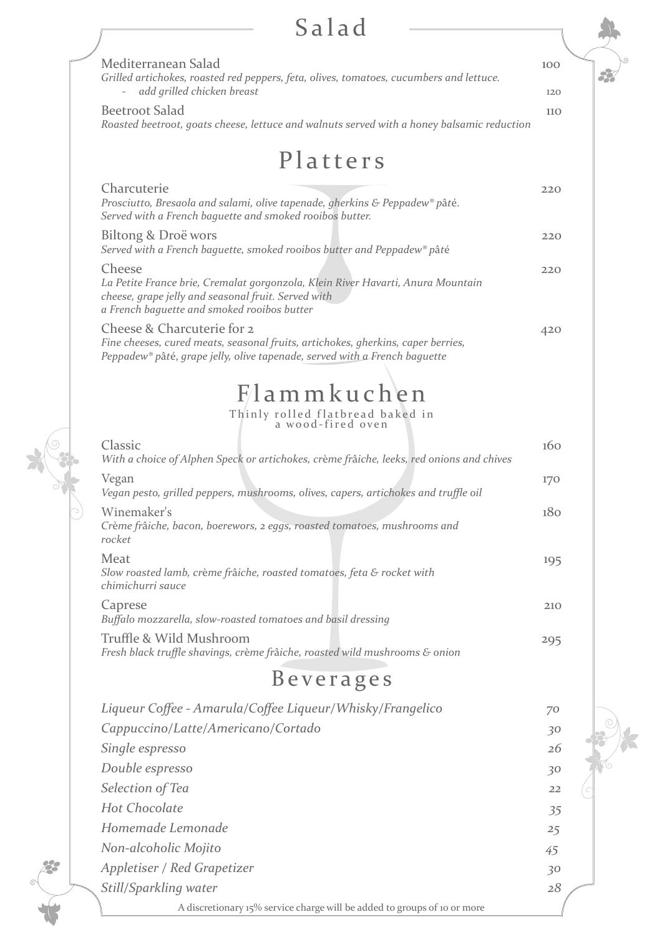## Salad

| Salad                                                                                                                                                                                           |            |  |
|-------------------------------------------------------------------------------------------------------------------------------------------------------------------------------------------------|------------|--|
| Mediterranean Salad<br>Grilled artichokes, roasted red peppers, feta, olives, tomatoes, cucumbers and lettuce.<br>add grilled chicken breast<br>$\overline{\phantom{a}}$                        | 100<br>120 |  |
| <b>Beetroot Salad</b><br>Roasted beetroot, goats cheese, lettuce and walnuts served with a honey balsamic reduction                                                                             | 110        |  |
| Platters                                                                                                                                                                                        |            |  |
| Charcuterie<br>Prosciutto, Bresaola and salami, olive tapenade, gherkins & Peppadew® pâté.<br>Served with a French baguette and smoked rooibos butter.                                          | 220        |  |
| Biltong & Droë wors<br>Served with a French baguette, smoked rooibos butter and Peppadew® pâté                                                                                                  | 220        |  |
| Cheese<br>La Petite France brie, Cremalat gorgonzola, Klein River Havarti, Anura Mountain<br>cheese, grape jelly and seasonal fruit. Served with<br>a French baguette and smoked rooibos butter | 220        |  |
| Cheese & Charcuterie for 2<br>Fine cheeses, cured meats, seasonal fruits, artichokes, gherkins, caper berries,<br>Peppadew® pâté, grape jelly, olive tapenade, served with a French baguette    | 420        |  |
| Flammkuchen                                                                                                                                                                                     |            |  |
| Thinly rolled flatbread baked in<br>a wood-fired oven                                                                                                                                           |            |  |
| Classic<br>With a choice of Alphen Speck or artichokes, crème frâiche, leeks, red onions and chives                                                                                             | 160        |  |
| Vegan<br>Vegan pesto, grilled peppers, mushrooms, olives, capers, artichokes and truffle oil                                                                                                    | 170        |  |
| Winemaker's<br>Crème frâiche, bacon, boerewors, 2 eggs, roasted tomatoes, mushrooms and<br>rocket                                                                                               | 180        |  |
| Meat<br>Slow roasted lamb, crème frâiche, roasted tomatoes, feta & rocket with<br>chimichurri sauce                                                                                             | 195        |  |
| Caprese<br>Buffalo mozzarella, slow-roasted tomatoes and basil dressing                                                                                                                         | 210        |  |
| Truffle & Wild Mushroom<br>Fresh black truffle shavings, crème frâiche, roasted wild mushrooms & onion                                                                                          | 295        |  |
| Beverages                                                                                                                                                                                       |            |  |

| $D$ $C$ $R$ $C$ $L$ $C$ $C$ $D$                                          |    |  |
|--------------------------------------------------------------------------|----|--|
| Liqueur Coffee - Amarula/Coffee Liqueur/Whisky/Frangelico                | 70 |  |
| Cappuccino/Latte/Americano/Cortado                                       | 30 |  |
| Single espresso                                                          | 26 |  |
| Double espresso                                                          | 30 |  |
| Selection of Tea                                                         | 22 |  |
| <b>Hot Chocolate</b>                                                     | 35 |  |
| Homemade Lemonade                                                        | 25 |  |
| Non-alcoholic Mojito                                                     | 45 |  |
| Appletiser / Red Grapetizer                                              | 30 |  |
| Still/Sparkling water                                                    | 28 |  |
| A discretionary 15% service charge will be added to groups of 10 or more |    |  |

6

28